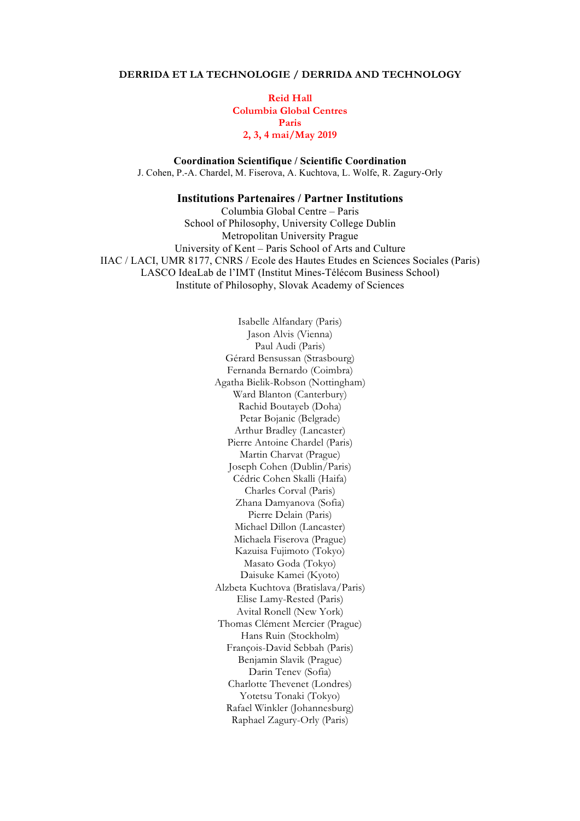### **DERRIDA ET LA TECHNOLOGIE / DERRIDA AND TECHNOLOGY**

**Reid Hall Columbia Global Centres Paris 2, 3, 4 mai/May 2019**

**Coordination Scientifique / Scientific Coordination** J. Cohen, P.-A. Chardel, M. Fiserova, A. Kuchtova, L. Wolfe, R. Zagury-Orly

# **Institutions Partenaires / Partner Institutions**

Columbia Global Centre – Paris School of Philosophy, University College Dublin Metropolitan University Prague University of Kent – Paris School of Arts and Culture IIAC / LACI, UMR 8177, CNRS / Ecole des Hautes Etudes en Sciences Sociales (Paris) LASCO IdeaLab de l'IMT (Institut Mines-Télécom Business School) Institute of Philosophy, Slovak Academy of Sciences

> Isabelle Alfandary (Paris) Jason Alvis (Vienna) Paul Audi (Paris) Gérard Bensussan (Strasbourg) Fernanda Bernardo (Coimbra) Agatha Bielik-Robson (Nottingham) Ward Blanton (Canterbury) Rachid Boutayeb (Doha) Petar Bojanic (Belgrade) Arthur Bradley (Lancaster) Pierre Antoine Chardel (Paris) Martin Charvat (Prague) Joseph Cohen (Dublin/Paris) Cédric Cohen Skalli (Haifa) Charles Corval (Paris) Zhana Damyanova (Sofia) Pierre Delain (Paris) Michael Dillon (Lancaster) Michaela Fiserova (Prague) Kazuisa Fujimoto (Tokyo) Masato Goda (Tokyo) Daisuke Kamei (Kyoto) Alzbeta Kuchtova (Bratislava/Paris) Elise Lamy-Rested (Paris) Avital Ronell (New York) Thomas Clément Mercier (Prague) Hans Ruin (Stockholm) François-David Sebbah (Paris) Benjamin Slavik (Prague) Darin Tenev (Sofia) Charlotte Thevenet (Londres) Yotetsu Tonaki (Tokyo) Rafael Winkler (Johannesburg) Raphael Zagury-Orly (Paris)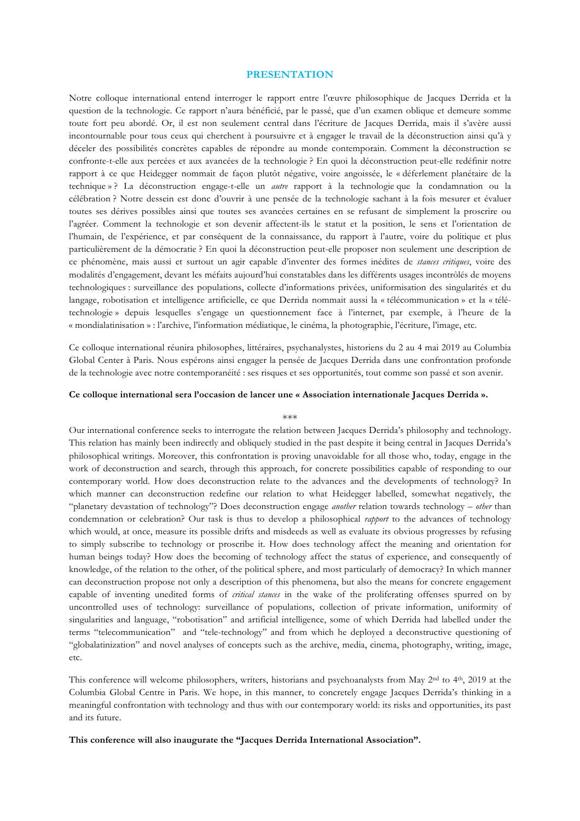### **PRESENTATION**

Notre colloque international entend interroger le rapport entre l'œuvre philosophique de Jacques Derrida et la question de la technologie. Ce rapport n'aura bénéficié, par le passé, que d'un examen oblique et demeure somme toute fort peu abordé. Or, il est non seulement central dans l'écriture de Jacques Derrida, mais il s'avère aussi incontournable pour tous ceux qui cherchent à poursuivre et à engager le travail de la déconstruction ainsi qu'à y déceler des possibilités concrètes capables de répondre au monde contemporain. Comment la déconstruction se confronte-t-elle aux percées et aux avancées de la technologie ? En quoi la déconstruction peut-elle redéfinir notre rapport à ce que Heidegger nommait de façon plutôt négative, voire angoissée, le « déferlement planétaire de la technique » ? La déconstruction engage-t-elle un *autre* rapport à la technologie que la condamnation ou la célébration ? Notre dessein est donc d'ouvrir à une pensée de la technologie sachant à la fois mesurer et évaluer toutes ses dérives possibles ainsi que toutes ses avancées certaines en se refusant de simplement la proscrire ou l'agréer. Comment la technologie et son devenir affectent-ils le statut et la position, le sens et l'orientation de l'humain, de l'expérience, et par conséquent de la connaissance, du rapport à l'autre, voire du politique et plus particulièrement de la démocratie ? En quoi la déconstruction peut-elle proposer non seulement une description de ce phénomène, mais aussi et surtout un agir capable d'inventer des formes inédites de *stances critiques*, voire des modalités d'engagement, devant les méfaits aujourd'hui constatables dans les différents usages incontrôlés de moyens technologiques : surveillance des populations, collecte d'informations privées, uniformisation des singularités et du langage, robotisation et intelligence artificielle, ce que Derrida nommait aussi la « télécommunication » et la « télétechnologie » depuis lesquelles s'engage un questionnement face à l'internet, par exemple, à l'heure de la « mondialatinisation » : l'archive, l'information médiatique, le cinéma, la photographie, l'écriture, l'image, etc.

Ce colloque international réunira philosophes, littéraires, psychanalystes, historiens du 2 au 4 mai 2019 au Columbia Global Center à Paris. Nous espérons ainsi engager la pensée de Jacques Derrida dans une confrontation profonde de la technologie avec notre contemporanéité : ses risques et ses opportunités, tout comme son passé et son avenir.

#### **Ce colloque international sera l'occasion de lancer une « Association internationale Jacques Derrida ».**

#### \*\*\*

Our international conference seeks to interrogate the relation between Jacques Derrida's philosophy and technology. This relation has mainly been indirectly and obliquely studied in the past despite it being central in Jacques Derrida's philosophical writings. Moreover, this confrontation is proving unavoidable for all those who, today, engage in the work of deconstruction and search, through this approach, for concrete possibilities capable of responding to our contemporary world. How does deconstruction relate to the advances and the developments of technology? In which manner can deconstruction redefine our relation to what Heidegger labelled, somewhat negatively, the "planetary devastation of technology"? Does deconstruction engage *another* relation towards technology – *other* than condemnation or celebration? Our task is thus to develop a philosophical *rapport* to the advances of technology which would, at once, measure its possible drifts and misdeeds as well as evaluate its obvious progresses by refusing to simply subscribe to technology or proscribe it. How does technology affect the meaning and orientation for human beings today? How does the becoming of technology affect the status of experience, and consequently of knowledge, of the relation to the other, of the political sphere, and most particularly of democracy? In which manner can deconstruction propose not only a description of this phenomena, but also the means for concrete engagement capable of inventing unedited forms of *critical stances* in the wake of the proliferating offenses spurred on by uncontrolled uses of technology: surveillance of populations, collection of private information, uniformity of singularities and language, "robotisation" and artificial intelligence, some of which Derrida had labelled under the terms "telecommunication" and "tele-technology" and from which he deployed a deconstructive questioning of "globalatinization" and novel analyses of concepts such as the archive, media, cinema, photography, writing, image, etc.

This conference will welcome philosophers, writers, historians and psychoanalysts from May 2nd to 4th, 2019 at the Columbia Global Centre in Paris. We hope, in this manner, to concretely engage Jacques Derrida's thinking in a meaningful confrontation with technology and thus with our contemporary world: its risks and opportunities, its past and its future.

**This conference will also inaugurate the "Jacques Derrida International Association".**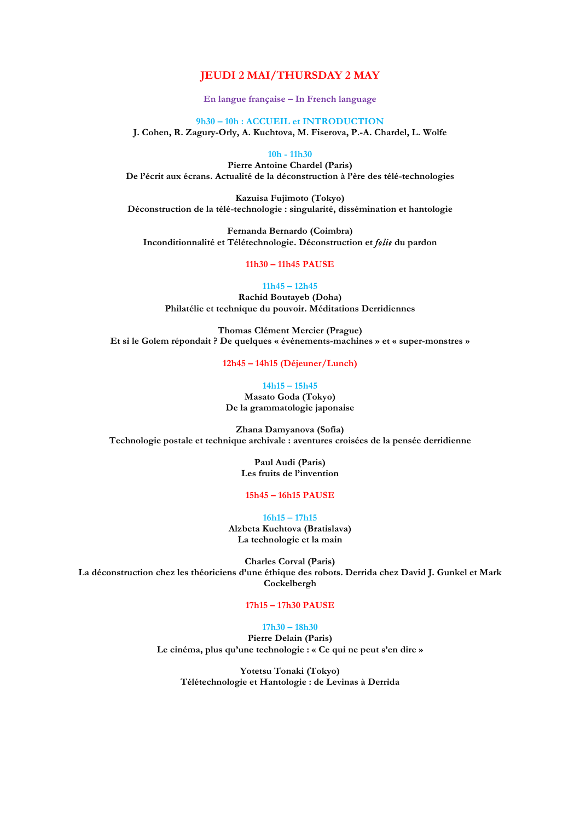## **JEUDI 2 MAI/THURSDAY 2 MAY**

**En langue française – In French language**

**9h30 – 10h : ACCUEIL et INTRODUCTION J. Cohen, R. Zagury-Orly, A. Kuchtova, M. Fiserova, P.-A. Chardel, L. Wolfe**

**10h - 11h30**

**Pierre Antoine Chardel (Paris) De l'écrit aux écrans. Actualité de la déconstruction à l'ère des télé-technologies**

**Kazuisa Fujimoto (Tokyo) Déconstruction de la télé-technologie : singularité, dissémination et hantologie**

**Fernanda Bernardo (Coimbra) Inconditionnalité et Télétechnologie. Déconstruction et** *folie* **du pardon**

**11h30 – 11h45 PAUSE**

**11h45 – 12h45 Rachid Boutayeb (Doha) Philatélie et technique du pouvoir. Méditations Derridiennes**

**Thomas Clément Mercier (Prague)**

**Et si le Golem répondait ? De quelques « événements-machines » et « super-monstres »**

**12h45 – 14h15 (Déjeuner/Lunch)**

**14h15 – 15h45**

**Masato Goda (Tokyo) De la grammatologie japonaise**

**Zhana Damyanova (Sofia) Technologie postale et technique archivale : aventures croisées de la pensée derridienne**

> **Paul Audi (Paris) Les fruits de l'invention**

**15h45 – 16h15 PAUSE**

**16h15 – 17h15 Alzbeta Kuchtova (Bratislava)**

**La technologie et la main**

**Charles Corval (Paris) La déconstruction chez les théoriciens d'une éthique des robots. Derrida chez David J. Gunkel et Mark Cockelbergh**

### **17h15 – 17h30 PAUSE**

#### **17h30 – 18h30**

**Pierre Delain (Paris) Le cinéma, plus qu'une technologie : « Ce qui ne peut s'en dire »**

**Yotetsu Tonaki (Tokyo) Télétechnologie et Hantologie : de Levinas à Derrida**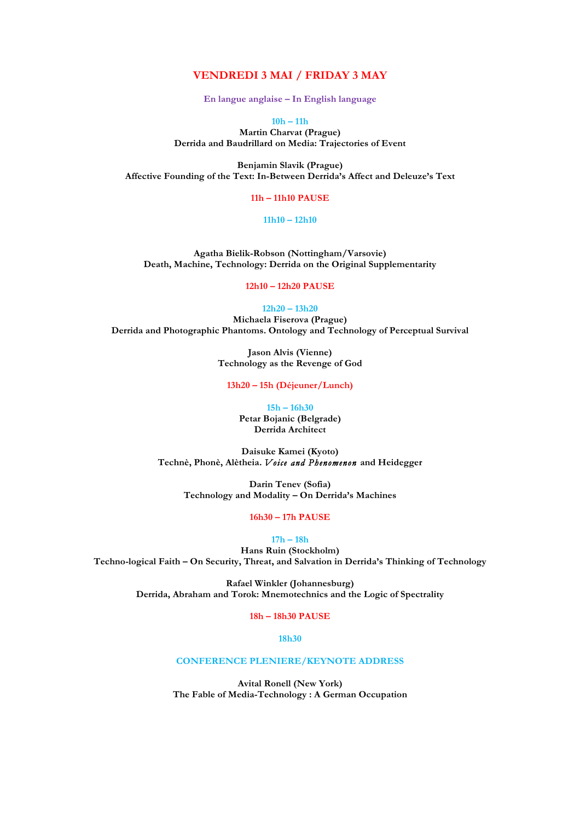## **VENDREDI 3 MAI / FRIDAY 3 MAY**

**En langue anglaise – In English language**

**10h – 11h**

**Martin Charvat (Prague) Derrida and Baudrillard on Media: Trajectories of Event**

**Benjamin Slavik (Prague) Affective Founding of the Text: In-Between Derrida's Affect and Deleuze's Text**

## **11h – 11h10 PAUSE**

## **11h10 – 12h10**

**Agatha Bielik-Robson (Nottingham/Varsovie) Death, Machine, Technology: Derrida on the Original Supplementarity**

**12h10 – 12h20 PAUSE**

#### **12h20 – 13h20**

**Michaela Fiserova (Prague) Derrida and Photographic Phantoms. Ontology and Technology of Perceptual Survival**

> **Jason Alvis (Vienne) Technology as the Revenge of God**

**13h20 – 15h (Déjeuner/Lunch)**

**15h – 16h30 Petar Bojanic (Belgrade) Derrida Architect**

**Daisuke Kamei (Kyoto) Technè, Phonè, Alètheia.** *Voice and Phenomenon* **and Heidegger**

**Darin Tenev (Sofia) Technology and Modality – On Derrida's Machines**

**16h30 – 17h PAUSE**

**17h – 18h**

**Hans Ruin (Stockholm) Techno-logical Faith – On Security, Threat, and Salvation in Derrida's Thinking of Technology**

> **Rafael Winkler (Johannesburg) Derrida, Abraham and Torok: Mnemotechnics and the Logic of Spectrality**

> > **18h – 18h30 PAUSE**

**18h30**

### **CONFERENCE PLENIERE/KEYNOTE ADDRESS**

**Avital Ronell (New York) The Fable of Media-Technology : A German Occupation**